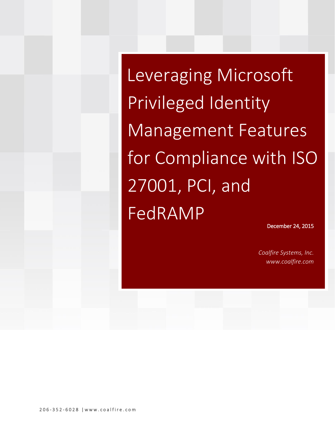Leveraging Microsoft Privileged Identity Management Features for Compliance with ISO 27001, PCI, and FedRAMP

December 24, 2015

*Coalfire Systems, Inc. www.coalfire.com*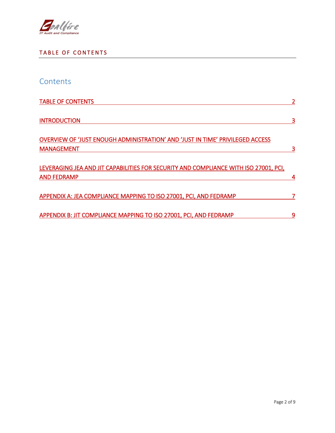

### <span id="page-1-0"></span>TABLE OF CONTENTS

| Contents                                                                                                   |                |
|------------------------------------------------------------------------------------------------------------|----------------|
| <b>TABLE OF CONTENTS</b>                                                                                   | $\overline{2}$ |
| <b>INTRODUCTION</b>                                                                                        | 3              |
| OVERVIEW OF 'JUST ENOUGH ADMINISTRATION' AND 'JUST IN TIME' PRIVILEGED ACCESS<br><b>MANAGEMENT</b>         |                |
| LEVERAGING JEA AND JIT CAPABILITIES FOR SECURITY AND COMPLIANCE WITH ISO 27001, PCI,<br><b>AND FEDRAMP</b> | 4              |
| APPENDIX A: JEA COMPLIANCE MAPPING TO ISO 27001, PCI, AND FEDRAMP                                          |                |
| APPENDIX B: JIT COMPLIANCE MAPPING TO ISO 27001, PCI, AND FEDRAMP                                          | 9              |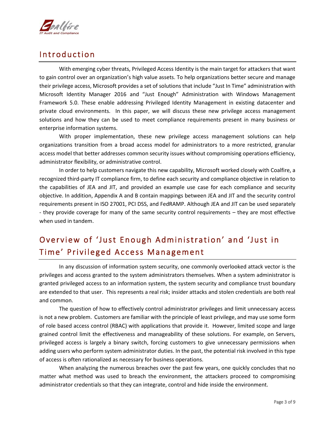

### <span id="page-2-0"></span>**Introduction**

With emerging cyber threats, Privileged Access Identity is the main target for attackers that want to gain control over an organization's high value assets. To help organizations better secure and manage their privilege access, Microsoft provides a set of solutions that include "Just In Time" administration with Microsoft Identity Manager 2016 and "Just Enough" Administration with Windows Management Framework 5.0. These enable addressing Privileged Identity Management in existing datacenter and private cloud environments. In this paper, we will discuss these new privilege access management solutions and how they can be used to meet compliance requirements present in many business or enterprise information systems.

With proper implementation, these new privilege access management solutions can help organizations transition from a broad access model for administrators to a more restricted, granular access model that better addresses common security issues without compromising operations efficiency, administrator flexibility, or administrative control.

In order to help customers navigate this new capability, Microsoft worked closely with Coalfire, a recognized third-party IT compliance firm, to define each security and compliance objective in relation to the capabilities of JEA and JIT, and provided an example use case for each compliance and security objective. In addition, Appendix A and B contain mappings between JEA and JIT and the security control requirements present in ISO 27001, PCI DSS, and FedRAMP. Although JEA and JIT can be used separately - they provide coverage for many of the same security control requirements – they are most effective when used in tandem.

### <span id="page-2-1"></span>Overview of 'Just Enough Administration' and 'Just in Time' Privileged Access Management

In any discussion of information system security, one commonly overlooked attack vector is the privileges and access granted to the system administrators themselves. When a system administrator is granted privileged access to an information system, the system security and compliance trust boundary are extended to that user. This represents a real risk; insider attacks and stolen credentials are both real and common.

The question of how to effectively control administrator privileges and limit unnecessary access is not a new problem. Customers are familiar with the principle of least privilege, and may use some form of role based access control (RBAC) with applications that provide it. However, limited scope and large grained control limit the effectiveness and manageability of these solutions. For example, on Servers, privileged access is largely a binary switch, forcing customers to give unnecessary permissions when adding users who perform system administrator duties. In the past, the potential risk involved in this type of access is often rationalized as necessary for business operations.

When analyzing the numerous breaches over the past few years, one quickly concludes that no matter what method was used to breach the environment, the attackers proceed to compromising administrator credentials so that they can integrate, control and hide inside the environment.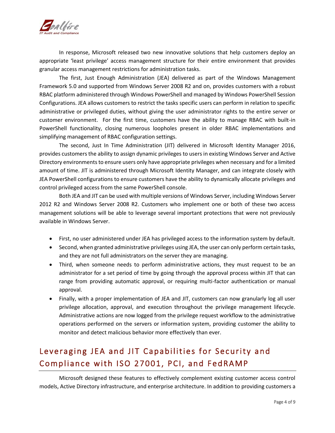

In response, Microsoft released two new innovative solutions that help customers deploy an appropriate 'least privilege' access management structure for their entire environment that provides granular access management restrictions for administration tasks.

The first, Just Enough Administration (JEA) delivered as part of the Windows Management Framework 5.0 and supported from Windows Server 2008 R2 and on, provides customers with a robust RBAC platform administered through Windows PowerShell and managed by Windows PowerShell Session Configurations. JEA allows customers to restrict the tasks specific users can perform in relation to specific administrative or privileged duties, without giving the user administrator rights to the entire server or customer environment. For the first time, customers have the ability to manage RBAC with built-in PowerShell functionality, closing numerous loopholes present in older RBAC implementations and simplifying management of RBAC configuration settings.

The second, Just In Time Administration (JIT) delivered in Microsoft Identity Manager 2016, provides customers the ability to assign dynamic privileges to users in existing Windows Server and Active Directory environments to ensure users only have appropriate privileges when necessary and for a limited amount of time. JIT is administered through Microsoft Identity Manager, and can integrate closely with JEA PowerShell configurations to ensure customers have the ability to dynamically allocate privileges and control privileged access from the same PowerShell console.

Both JEA and JIT can be used with multiple versions of Windows Server, including Windows Server 2012 R2 and Windows Server 2008 R2. Customers who implement one or both of these two access management solutions will be able to leverage several important protections that were not previously available in Windows Server.

- First, no user administered under JEA has privileged access to the information system by default.
- Second, when granted administrative privileges using JEA, the user can only perform certain tasks, and they are not full administrators on the server they are managing.
- Third, when someone needs to perform administrative actions, they must request to be an administrator for a set period of time by going through the approval process within JIT that can range from providing automatic approval, or requiring multi-factor authentication or manual approval.
- Finally, with a proper implementation of JEA and JIT, customers can now granularly log all user privilege allocation, approval, and execution throughout the privilege management lifecycle. Administrative actions are now logged from the privilege request workflow to the administrative operations performed on the servers or information system, providing customer the ability to monitor and detect malicious behavior more effectively than ever.

## <span id="page-3-0"></span>Leveraging JEA and JIT Capabilities for Security and Compliance with ISO 27001, PCI, and FedRAMP

Microsoft designed these features to effectively complement existing customer access control models, Active Directory infrastructure, and enterprise architecture. In addition to providing customers a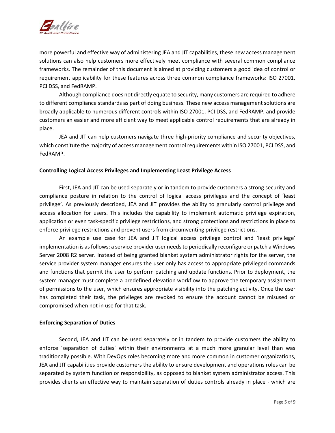

more powerful and effective way of administering JEA and JIT capabilities, these new access management solutions can also help customers more effectively meet compliance with several common compliance frameworks. The remainder of this document is aimed at providing customers a good idea of control or requirement applicability for these features across three common compliance frameworks: ISO 27001, PCI DSS, and FedRAMP.

Although compliance does not directly equate to security, many customers are required to adhere to different compliance standards as part of doing business. These new access management solutions are broadly applicable to numerous different controls within ISO 27001, PCI DSS, and FedRAMP, and provide customers an easier and more efficient way to meet applicable control requirements that are already in place.

JEA and JIT can help customers navigate three high-priority compliance and security objectives, which constitute the majority of access management control requirements within ISO 27001, PCI DSS, and FedRAMP.

#### **Controlling Logical Access Privileges and Implementing Least Privilege Access**

First, JEA and JIT can be used separately or in tandem to provide customers a strong security and compliance posture in relation to the control of logical access privileges and the concept of 'least privilege'. As previously described, JEA and JIT provides the ability to granularly control privilege and access allocation for users. This includes the capability to implement automatic privilege expiration, application or even task-specific privilege restrictions, and strong protections and restrictions in place to enforce privilege restrictions and prevent users from circumventing privilege restrictions.

An example use case for JEA and JIT logical access privilege control and 'least privilege' implementation is as follows: a service provider user needs to periodically reconfigure or patch a Windows Server 2008 R2 server. Instead of being granted blanket system administrator rights for the server, the service provider system manager ensures the user only has access to appropriate privileged commands and functions that permit the user to perform patching and update functions. Prior to deployment, the system manager must complete a predefined elevation workflow to approve the temporary assignment of permissions to the user, which ensures appropriate visibility into the patching activity. Once the user has completed their task, the privileges are revoked to ensure the account cannot be misused or compromised when not in use for that task.

#### **Enforcing Separation of Duties**

Second, JEA and JIT can be used separately or in tandem to provide customers the ability to enforce 'separation of duties' within their environments at a much more granular level than was traditionally possible. With DevOps roles becoming more and more common in customer organizations, JEA and JIT capabilities provide customers the ability to ensure development and operations roles can be separated by system function or responsibility, as opposed to blanket system administrator access. This provides clients an effective way to maintain separation of duties controls already in place - which are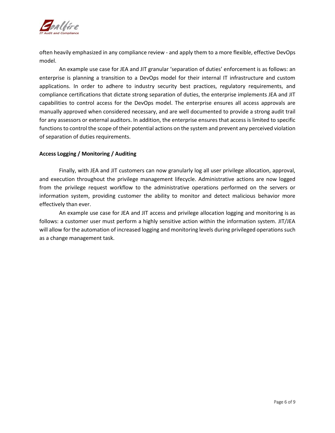

often heavily emphasized in any compliance review - and apply them to a more flexible, effective DevOps model.

An example use case for JEA and JIT granular 'separation of duties' enforcement is as follows: an enterprise is planning a transition to a DevOps model for their internal IT infrastructure and custom applications. In order to adhere to industry security best practices, regulatory requirements, and compliance certifications that dictate strong separation of duties, the enterprise implements JEA and JIT capabilities to control access for the DevOps model. The enterprise ensures all access approvals are manually approved when considered necessary, and are well documented to provide a strong audit trail for any assessors or external auditors. In addition, the enterprise ensures that access is limited to specific functions to control the scope of their potential actions on the system and prevent any perceived violation of separation of duties requirements.

#### **Access Logging / Monitoring / Auditing**

Finally, with JEA and JIT customers can now granularly log all user privilege allocation, approval, and execution throughout the privilege management lifecycle. Administrative actions are now logged from the privilege request workflow to the administrative operations performed on the servers or information system, providing customer the ability to monitor and detect malicious behavior more effectively than ever.

An example use case for JEA and JIT access and privilege allocation logging and monitoring is as follows: a customer user must perform a highly sensitive action within the information system. JIT/JEA will allow for the automation of increased logging and monitoring levels during privileged operations such as a change management task.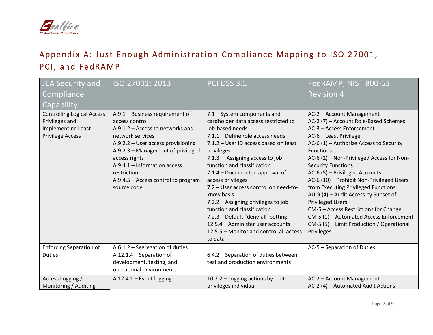

# Appendix A: Just Enough Administration Compliance Mapping to ISO 27001, PCI, and FedRAMP

<span id="page-6-0"></span>

| JEA Security and<br>Compliance<br>Capability                                                         | ISO 27001: 2013                                                                                                                                                                                                                                                                                               | <b>PCI DSS 3.1</b>                                                                                                                                                                                                                                                                                                                                                                                                                                                                                                                                                       | FedRAMP; NIST 800-53<br><b>Revision 4</b>                                                                                                                                                                                                                                                                                                                                                                                                                                                                                                                                                                    |
|------------------------------------------------------------------------------------------------------|---------------------------------------------------------------------------------------------------------------------------------------------------------------------------------------------------------------------------------------------------------------------------------------------------------------|--------------------------------------------------------------------------------------------------------------------------------------------------------------------------------------------------------------------------------------------------------------------------------------------------------------------------------------------------------------------------------------------------------------------------------------------------------------------------------------------------------------------------------------------------------------------------|--------------------------------------------------------------------------------------------------------------------------------------------------------------------------------------------------------------------------------------------------------------------------------------------------------------------------------------------------------------------------------------------------------------------------------------------------------------------------------------------------------------------------------------------------------------------------------------------------------------|
| <b>Controlling Logical Access</b><br>Privileges and<br>Implementing Least<br><b>Privilege Access</b> | A.9.1 - Business requirement of<br>access control<br>$A.9.1.2 - Access$ to networks and<br>network services<br>A.9.2.2 - User access provisioning<br>A.9.2.3 - Management of privileged<br>access rights<br>A.9.4.1 - Information access<br>restriction<br>A.9.4.5 - Access control to program<br>source code | 7.1 - System components and<br>cardholder data access restricted to<br>job-based needs<br>7.1.1 - Define role access needs<br>7.1.2 - User ID access based on least<br>privileges<br>7.1.3 - Assigning access to job<br>function and classification<br>7.1.4 - Documented approval of<br>access privileges<br>7.2 - User access control on need-to-<br>know basis<br>7.2.2 - Assigning privileges to job<br>function and classification<br>7.2.3 - Default "deny-all" setting<br>12.5.4 - Administer user accounts<br>12.5.5 - Monitor and control all access<br>to data | AC-2 - Account Management<br>AC-2 (7) - Account Role-Based Schemes<br>AC-3 - Access Enforcement<br>AC-6 - Least Privilege<br>AC-6 $(1)$ – Authorize Access to Security<br><b>Functions</b><br>AC-6 (2) - Non-Privileged Access for Non-<br><b>Security Functions</b><br>AC-6 (5) - Privileged Accounts<br>AC-6 (10) - Prohibit Non-Privileged Users<br>from Executing Privileged Functions<br>AU-9 (4) - Audit Access by Subset of<br><b>Privileged Users</b><br>CM-5 - Access Restrictions for Change<br>CM-5 (1) - Automated Access Enforcement<br>CM-5 (5) – Limit Production / Operational<br>Privileges |
| <b>Enforcing Separation of</b><br><b>Duties</b>                                                      | A.6.1.2 - Segregation of duties<br>$A.12.1.4 - Separation of$<br>development, testing, and<br>operational environments                                                                                                                                                                                        | 6.4.2 - Separation of duties between<br>test and production environments                                                                                                                                                                                                                                                                                                                                                                                                                                                                                                 | AC-5 - Separation of Duties                                                                                                                                                                                                                                                                                                                                                                                                                                                                                                                                                                                  |
| Access Logging /<br>Monitoring / Auditing                                                            | $A.12.4.1 -$ Event logging                                                                                                                                                                                                                                                                                    | 10.2.2 - Logging actions by root<br>privileges individual                                                                                                                                                                                                                                                                                                                                                                                                                                                                                                                | AC-2 - Account Management<br>AC-2 (4) - Automated Audit Actions                                                                                                                                                                                                                                                                                                                                                                                                                                                                                                                                              |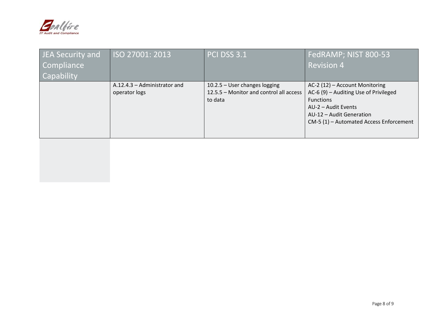

| <b>JEA Security and</b><br>Compliance | ISO 27001: 2013                                 | <b>PCI DSS 3.1</b>                                                                  | FedRAMP; NIST 800-53<br><b>Revision 4</b>                                                                                                                                                 |
|---------------------------------------|-------------------------------------------------|-------------------------------------------------------------------------------------|-------------------------------------------------------------------------------------------------------------------------------------------------------------------------------------------|
| <b>Capability</b>                     |                                                 |                                                                                     |                                                                                                                                                                                           |
|                                       | $A.12.4.3 -$ Administrator and<br>operator logs | 10.2.5 - User changes logging<br>12.5.5 – Monitor and control all access<br>to data | AC-2 (12) - Account Monitoring<br>AC-6 (9) - Auditing Use of Privileged<br><b>Functions</b><br>AU-2 - Audit Events<br>AU-12 - Audit Generation<br>CM-5 (1) - Automated Access Enforcement |
|                                       |                                                 |                                                                                     |                                                                                                                                                                                           |